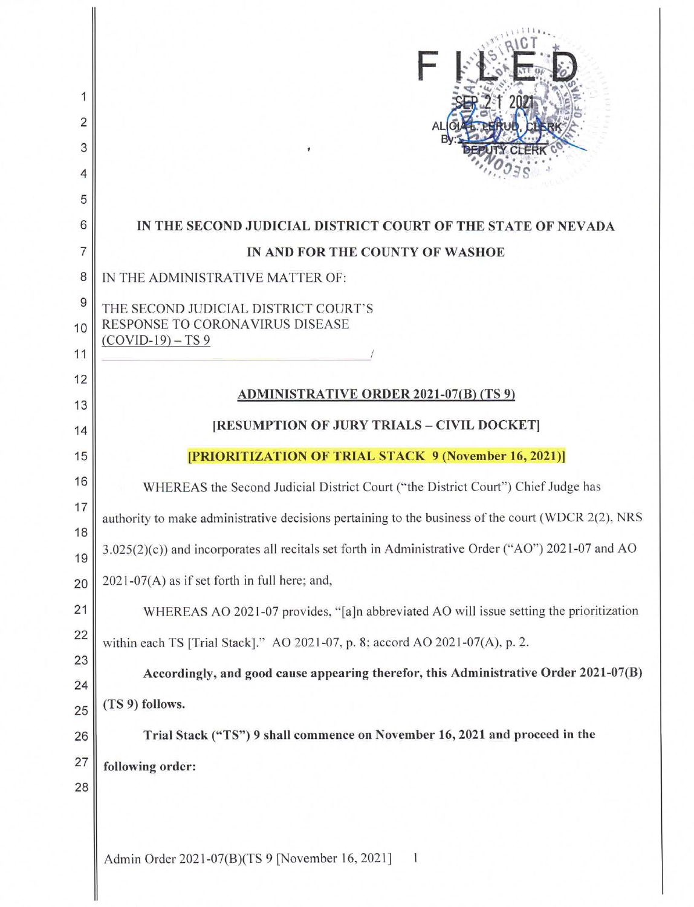| 2<br>3<br>4 |                                                                                                       |  |  |  |  |  |
|-------------|-------------------------------------------------------------------------------------------------------|--|--|--|--|--|
| 5<br>6      | IN THE SECOND JUDICIAL DISTRICT COURT OF THE STATE OF NEVADA                                          |  |  |  |  |  |
| 7           | IN AND FOR THE COUNTY OF WASHOE                                                                       |  |  |  |  |  |
| 8           | IN THE ADMINISTRATIVE MATTER OF:                                                                      |  |  |  |  |  |
| 9           | THE SECOND JUDICIAL DISTRICT COURT'S<br>RESPONSE TO CORONAVIRUS DISEASE<br>$(COVID-19) - TS 9$        |  |  |  |  |  |
| 10          |                                                                                                       |  |  |  |  |  |
| 11          |                                                                                                       |  |  |  |  |  |
| 12          | <b>ADMINISTRATIVE ORDER 2021-07(B) (TS 9)</b>                                                         |  |  |  |  |  |
| 13          |                                                                                                       |  |  |  |  |  |
| 14          | [RESUMPTION OF JURY TRIALS - CIVIL DOCKET]                                                            |  |  |  |  |  |
| 15          | [PRIORITIZATION OF TRIAL STACK 9 (November 16, 2021)]                                                 |  |  |  |  |  |
| 16<br>17    | WHEREAS the Second Judicial District Court ("the District Court") Chief Judge has                     |  |  |  |  |  |
| 18          | authority to make administrative decisions pertaining to the business of the court (WDCR 2(2), NRS    |  |  |  |  |  |
| 19          | $3.025(2)(c)$ ) and incorporates all recitals set forth in Administrative Order ("AO") 2021-07 and AO |  |  |  |  |  |
| 20          | 2021-07(A) as if set forth in full here; and,                                                         |  |  |  |  |  |
| 21          | WHEREAS AO 2021-07 provides, "[a]n abbreviated AO will issue setting the prioritization               |  |  |  |  |  |
| 22          | within each TS [Trial Stack]." AO 2021-07, p. 8; accord AO 2021-07(A), p. 2.                          |  |  |  |  |  |
| 23          | Accordingly, and good cause appearing therefor, this Administrative Order 2021-07(B)                  |  |  |  |  |  |
| 24          | (TS 9) follows.                                                                                       |  |  |  |  |  |
| 25          |                                                                                                       |  |  |  |  |  |
| 26          | Trial Stack ("TS") 9 shall commence on November 16, 2021 and proceed in the                           |  |  |  |  |  |
| 27<br>28    | following order:                                                                                      |  |  |  |  |  |
|             | Admin Order 2021-07(B)(TS 9 [November 16, 2021]                                                       |  |  |  |  |  |

 $\mathbb{I}$